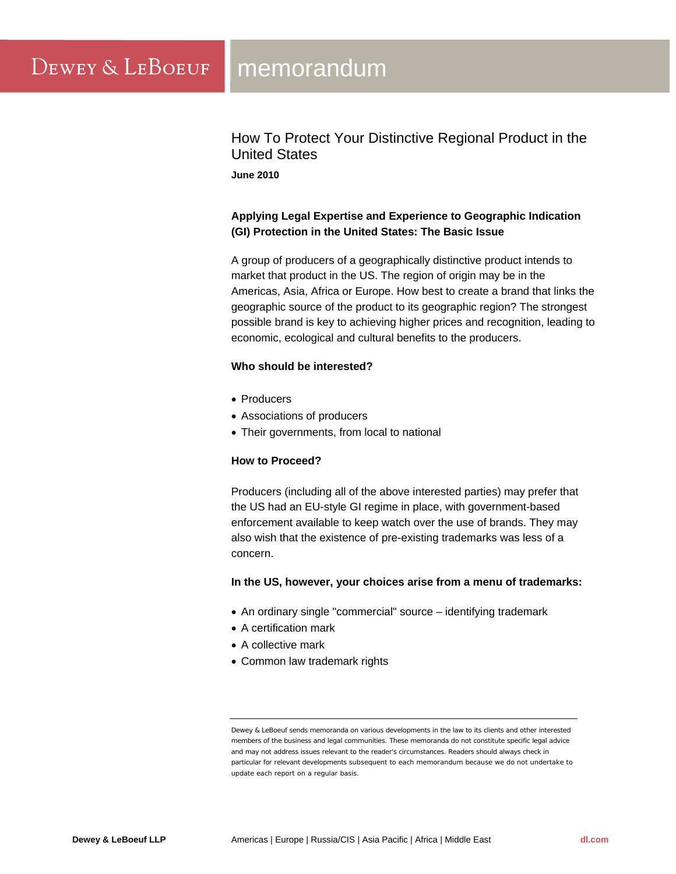How To Protect Your Distinctive Regional Product in the United States **June 2010** 

# **Applying Legal Expertise and Experience to Geographic Indication (GI) Protection in the United States: The Basic Issue**

A group of producers of a geographically distinctive product intends to market that product in the US. The region of origin may be in the Americas, Asia, Africa or Europe. How best to create a brand that links the geographic source of the product to its geographic region? The strongest possible brand is key to achieving higher prices and recognition, leading to economic, ecological and cultural benefits to the producers.

## **Who should be interested?**

- Producers
- Associations of producers
- Their governments, from local to national

## **How to Proceed?**

Producers (including all of the above interested parties) may prefer that the US had an EU-style GI regime in place, with government-based enforcement available to keep watch over the use of brands. They may also wish that the existence of pre-existing trademarks was less of a concern.

## **In the US, however, your choices arise from a menu of trademarks:**

- An ordinary single "commercial" source identifying trademark
- A certification mark
- A collective mark
- Common law trademark rights

Dewey & LeBoeuf sends memoranda on various developments in the law to its clients and other interested members of the business and legal communities. These memoranda do not constitute specific legal advice and may not address issues relevant to the reader's circumstances. Readers should always check in particular for relevant developments subsequent to each memorandum because we do not undertake to update each report on a regular basis.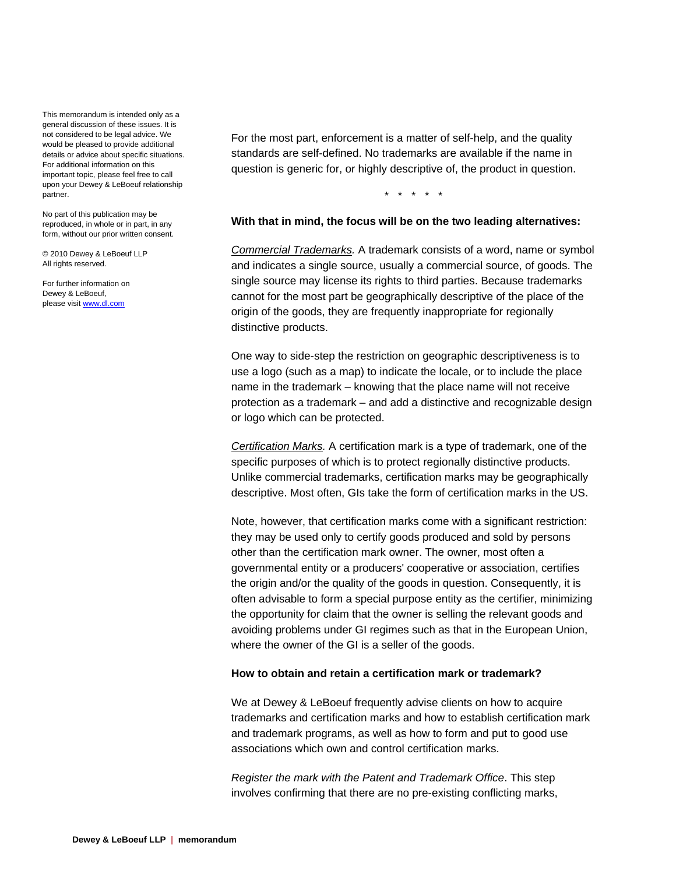This memorandum is intended only as a general discussion of these issues. It is not considered to be legal advice. We would be pleased to provide additional details or advice about specific situations. For additional information on this important topic, please feel free to call upon your Dewey & LeBoeuf relationship partner.

No part of this publication may be reproduced, in whole or in part, in any form, without our prior written consent.

© 2010 Dewey & LeBoeuf LLP All rights reserved.

For further information on Dewey & LeBoeuf, please visit www.dl.com

For the most part, enforcement is a matter of self-help, and the quality standards are self-defined. No trademarks are available if the name in question is generic for, or highly descriptive of, the product in question.

\* \* \* \* \*

#### **With that in mind, the focus will be on the two leading alternatives:**

*Commercial Trademarks.* A trademark consists of a word, name or symbol and indicates a single source, usually a commercial source, of goods. The single source may license its rights to third parties. Because trademarks cannot for the most part be geographically descriptive of the place of the origin of the goods, they are frequently inappropriate for regionally distinctive products.

One way to side-step the restriction on geographic descriptiveness is to use a logo (such as a map) to indicate the locale, or to include the place name in the trademark – knowing that the place name will not receive protection as a trademark – and add a distinctive and recognizable design or logo which can be protected.

*Certification Marks.* A certification mark is a type of trademark, one of the specific purposes of which is to protect regionally distinctive products. Unlike commercial trademarks, certification marks may be geographically descriptive. Most often, GIs take the form of certification marks in the US.

Note, however, that certification marks come with a significant restriction: they may be used only to certify goods produced and sold by persons other than the certification mark owner. The owner, most often a governmental entity or a producers' cooperative or association, certifies the origin and/or the quality of the goods in question. Consequently, it is often advisable to form a special purpose entity as the certifier, minimizing the opportunity for claim that the owner is selling the relevant goods and avoiding problems under GI regimes such as that in the European Union, where the owner of the GI is a seller of the goods.

#### **How to obtain and retain a certification mark or trademark?**

We at Dewey & LeBoeuf frequently advise clients on how to acquire trademarks and certification marks and how to establish certification mark and trademark programs, as well as how to form and put to good use associations which own and control certification marks.

*Register the mark with the Patent and Trademark Office*. This step involves confirming that there are no pre-existing conflicting marks,